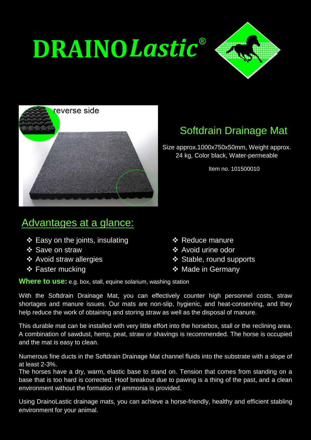# **DRAINOLastic®**





## Softdrain Drainage Mat

Size approx.1000x750x50mm, Weight approx. 24 kg, Color black, Water-permeable

Item no. 101500010

### Advantages at a glance:

- $\div$  Easy on the joints, insulating
- ❖ Save on straw
- ❖ Avoid straw allergies
- **❖ Faster mucking**
- **❖ Reduce manure**
- ❖ Avoid urine odor
- ❖ Stable, round supports
- ❖ Made in Germany

**Where to use:** e.g. box, stall, equine solarium, washing station

With the Softdrain Drainage Mat, you can effectively counter high personnel costs, straw shortages and manure issues. Our mats are non-slip, hygienic, and heat-conserving, and they help reduce the work of obtaining and storing straw as well as the disposal of manure.

This durable mat can be installed with very little effort into the horsebox, stall or the reclining area. A combination of sawdust, hemp, peat, straw or shavings is recommended. The horse is occupied and the mat is easy to clean.

Numerous fine ducts in the Softdrain Drainage Mat channel fluids into the substrate with a slope of at least 2-3%.

The horses have a dry, warm, elastic base to stand on. Tension that comes from standing on a base that is too hard is corrected. Hoof breakout due to pawing is a thing of the past, and a clean environment without the formation of ammonia is provided.

Using DrainoLastic drainage mats, you can achieve a horse-friendly, healthy and efficient stabling environment for your animal.